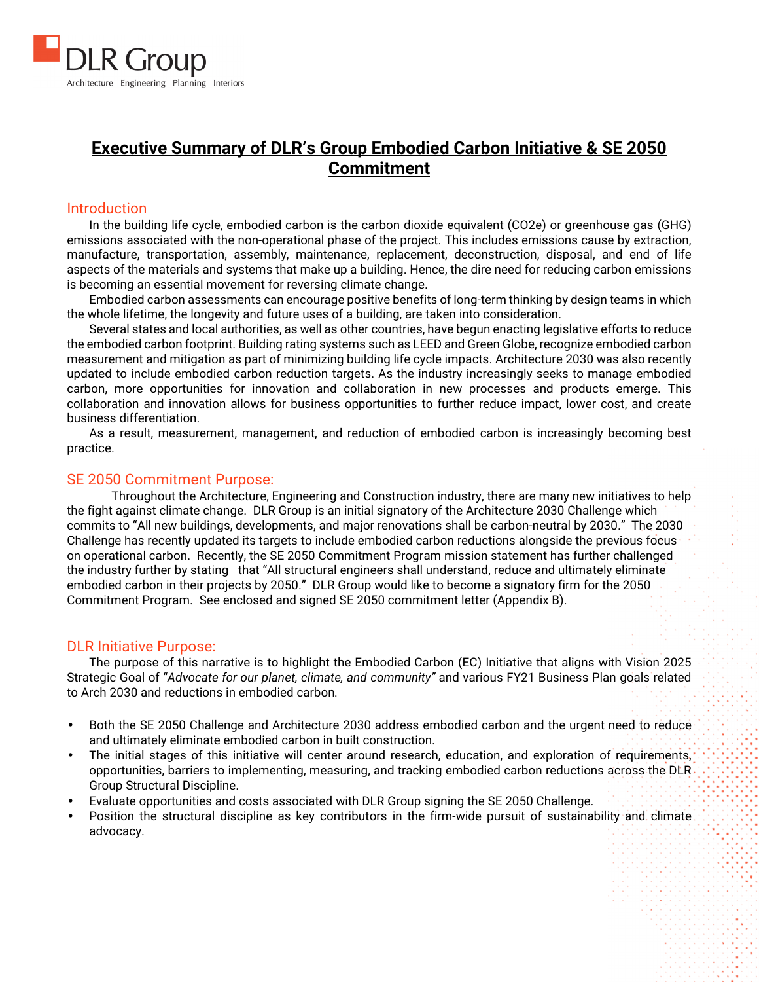

# **Executive Summary of DLR's Group Embodied Carbon Initiative & SE 2050 Commitment**

#### Introduction

In the building life cycle, embodied carbon is the carbon dioxide equivalent (CO2e) or greenhouse gas (GHG) emissions associated with the non-operational phase of the project. This includes emissions cause by extraction, manufacture, transportation, assembly, maintenance, replacement, deconstruction, disposal, and end of life aspects of the materials and systems that make up a building. Hence, the dire need for reducing carbon emissions is becoming an essential movement for reversing climate change.

Embodied carbon assessments can encourage positive benefits of long-term thinking by design teams in which the whole lifetime, the longevity and future uses of a building, are taken into consideration.

Several states and local authorities, as well as other countries, have begun enacting legislative efforts to reduce the embodied carbon footprint. Building rating systems such as LEED and Green Globe, recognize embodied carbon measurement and mitigation as part of minimizing building life cycle impacts. Architecture 2030 was also recently updated to include embodied carbon reduction targets. As the industry increasingly seeks to manage embodied carbon, more opportunities for innovation and collaboration in new processes and products emerge. This collaboration and innovation allows for business opportunities to further reduce impact, lower cost, and create business differentiation.

As a result, measurement, management, and reduction of embodied carbon is increasingly becoming best practice.

#### SE 2050 Commitment Purpose:

Throughout the Architecture, Engineering and Construction industry, there are many new initiatives to help the fight against climate change. DLR Group is an initial signatory of the Architecture 2030 Challenge which commits to "All new buildings, developments, and major renovations shall be carbon-neutral by 2030." The 2030 Challenge has recently updated its targets to include embodied carbon reductions alongside the previous focus on operational carbon. Recently, the SE 2050 Commitment Program mission statement has further challenged the industry further by stating that "All structural engineers shall understand, reduce and ultimately eliminate embodied carbon in their projects by 2050." DLR Group would like to become a signatory firm for the 2050 Commitment Program. See enclosed and signed SE 2050 commitment letter (Appendix B).

#### DLR Initiative Purpose:

The purpose of this narrative is to highlight the Embodied Carbon (EC) Initiative that aligns with Vision 2025 Strategic Goal of "*Advocate for our planet, climate, and community"* and various FY21 Business Plan goals related to Arch 2030 and reductions in embodied carbon*.* 

- Both the SE 2050 Challenge and Architecture 2030 address embodied carbon and the urgent need to reduce and ultimately eliminate embodied carbon in built construction.
- The initial stages of this initiative will center around research, education, and exploration of requirements, opportunities, barriers to implementing, measuring, and tracking embodied carbon reductions across the DLR Group Structural Discipline.
- Evaluate opportunities and costs associated with DLR Group signing the SE 2050 Challenge.
- Position the structural discipline as key contributors in the firm-wide pursuit of sustainability and climate advocacy.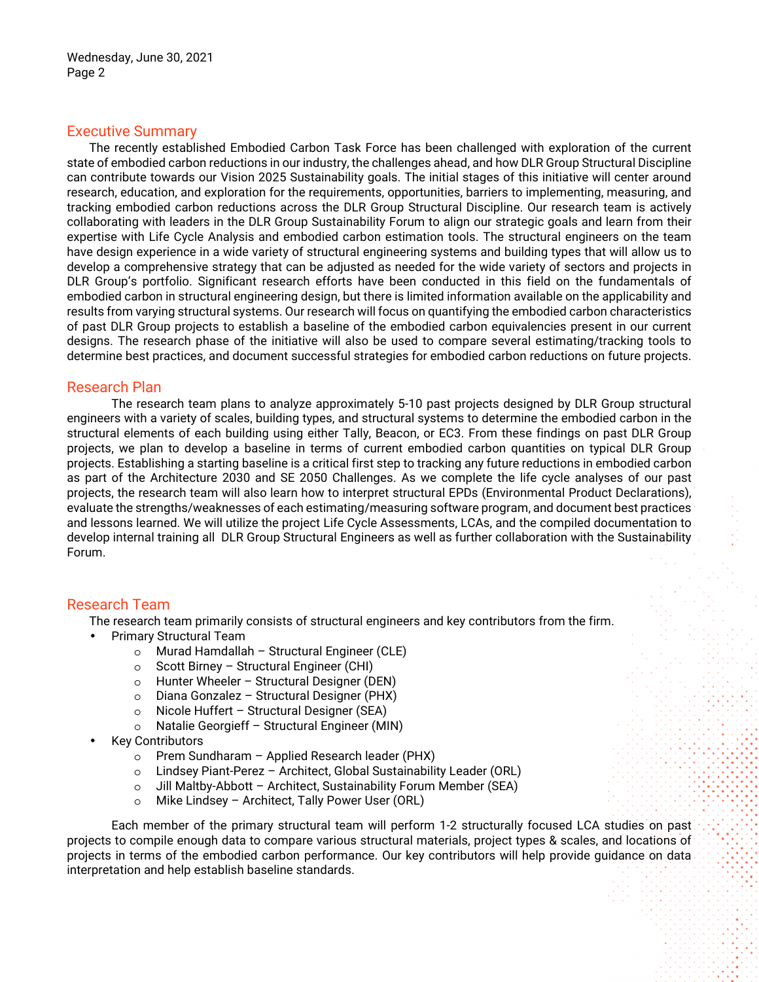#### Executive Summary

The recently established Embodied Carbon Task Force has been challenged with exploration of the current state of embodied carbon reductions in our industry, the challenges ahead, and how DLR Group Structural Discipline can contribute towards our Vision 2025 Sustainability goals. The initial stages of this initiative will center around research, education, and exploration for the requirements, opportunities, barriers to implementing, measuring, and tracking embodied carbon reductions across the DLR Group Structural Discipline. Our research team is actively collaborating with leaders in the DLR Group Sustainability Forum to align our strategic goals and learn from their expertise with Life Cycle Analysis and embodied carbon estimation tools. The structural engineers on the team have design experience in a wide variety of structural engineering systems and building types that will allow us to develop a comprehensive strategy that can be adjusted as needed for the wide variety of sectors and projects in DLR Group's portfolio. Significant research efforts have been conducted in this field on the fundamentals of embodied carbon in structural engineering design, but there is limited information available on the applicability and results from varying structural systems. Our research will focus on quantifying the embodied carbon characteristics of past DLR Group projects to establish a baseline of the embodied carbon equivalencies present in our current designs. The research phase of the initiative will also be used to compare several estimating/tracking tools to determine best practices, and document successful strategies for embodied carbon reductions on future projects.

#### Research Plan

The research team plans to analyze approximately 5-10 past projects designed by DLR Group structural engineers with a variety of scales, building types, and structural systems to determine the embodied carbon in the structural elements of each building using either Tally, Beacon, or EC3. From these findings on past DLR Group projects, we plan to develop a baseline in terms of current embodied carbon quantities on typical DLR Group projects. Establishing a starting baseline is a critical first step to tracking any future reductions in embodied carbon as part of the Architecture 2030 and SE 2050 Challenges. As we complete the life cycle analyses of our past projects, the research team will also learn how to interpret structural EPDs (Environmental Product Declarations), evaluate the strengths/weaknesses of each estimating/measuring software program, and document best practices and lessons learned. We will utilize the project Life Cycle Assessments, LCAs, and the compiled documentation to develop internal training all DLR Group Structural Engineers as well as further collaboration with the Sustainability Forum.

#### Research Team

The research team primarily consists of structural engineers and key contributors from the firm.

- Primary Structural Team
	- o Murad Hamdallah Structural Engineer (CLE)
	- o Scott Birney Structural Engineer (CHI)
	- o Hunter Wheeler Structural Designer (DEN)
	- o Diana Gonzalez Structural Designer (PHX)
	- o Nicole Huffert Structural Designer (SEA)
	- o Natalie Georgieff Structural Engineer (MIN)
- **Key Contributors** 
	- o Prem Sundharam Applied Research leader (PHX)
	- o Lindsey Piant-Perez Architect, Global Sustainability Leader (ORL)
	- o Jill Maltby-Abbott Architect, Sustainability Forum Member (SEA)
	- o Mike Lindsey Architect, Tally Power User (ORL)

Each member of the primary structural team will perform 1-2 structurally focused LCA studies on past projects to compile enough data to compare various structural materials, project types & scales, and locations of projects in terms of the embodied carbon performance. Our key contributors will help provide guidance on data interpretation and help establish baseline standards.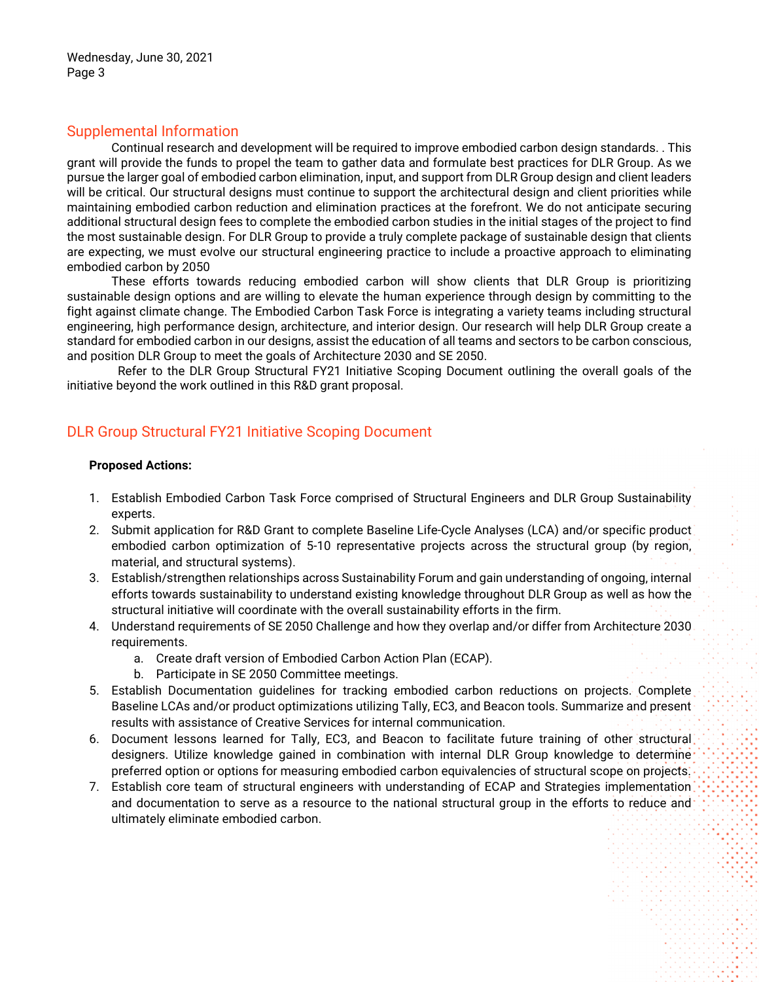## Supplemental Information

Continual research and development will be required to improve embodied carbon design standards. . This grant will provide the funds to propel the team to gather data and formulate best practices for DLR Group. As we pursue the larger goal of embodied carbon elimination, input, and support from DLR Group design and client leaders will be critical. Our structural designs must continue to support the architectural design and client priorities while maintaining embodied carbon reduction and elimination practices at the forefront. We do not anticipate securing additional structural design fees to complete the embodied carbon studies in the initial stages of the project to find the most sustainable design. For DLR Group to provide a truly complete package of sustainable design that clients are expecting, we must evolve our structural engineering practice to include a proactive approach to eliminating embodied carbon by 2050

These efforts towards reducing embodied carbon will show clients that DLR Group is prioritizing sustainable design options and are willing to elevate the human experience through design by committing to the fight against climate change. The Embodied Carbon Task Force is integrating a variety teams including structural engineering, high performance design, architecture, and interior design. Our research will help DLR Group create a standard for embodied carbon in our designs, assist the education of all teams and sectors to be carbon conscious, and position DLR Group to meet the goals of Architecture 2030 and SE 2050.

 Refer to the DLR Group Structural FY21 Initiative Scoping Document outlining the overall goals of the initiative beyond the work outlined in this R&D grant proposal.

# DLR Group Structural FY21 Initiative Scoping Document

#### **Proposed Actions:**

- 1. Establish Embodied Carbon Task Force comprised of Structural Engineers and DLR Group Sustainability experts.
- 2. Submit application for R&D Grant to complete Baseline Life-Cycle Analyses (LCA) and/or specific product embodied carbon optimization of 5-10 representative projects across the structural group (by region, material, and structural systems).
- 3. Establish/strengthen relationships across Sustainability Forum and gain understanding of ongoing, internal efforts towards sustainability to understand existing knowledge throughout DLR Group as well as how the structural initiative will coordinate with the overall sustainability efforts in the firm.
- 4. Understand requirements of SE 2050 Challenge and how they overlap and/or differ from Architecture 2030 requirements.
	- a. Create draft version of Embodied Carbon Action Plan (ECAP).
	- b. Participate in SE 2050 Committee meetings.
- 5. Establish Documentation guidelines for tracking embodied carbon reductions on projects. Complete Baseline LCAs and/or product optimizations utilizing Tally, EC3, and Beacon tools. Summarize and present results with assistance of Creative Services for internal communication.
- 6. Document lessons learned for Tally, EC3, and Beacon to facilitate future training of other structural designers. Utilize knowledge gained in combination with internal DLR Group knowledge to determine preferred option or options for measuring embodied carbon equivalencies of structural scope on projects.
- 7. Establish core team of structural engineers with understanding of ECAP and Strategies implementation and documentation to serve as a resource to the national structural group in the efforts to reduce and ultimately eliminate embodied carbon.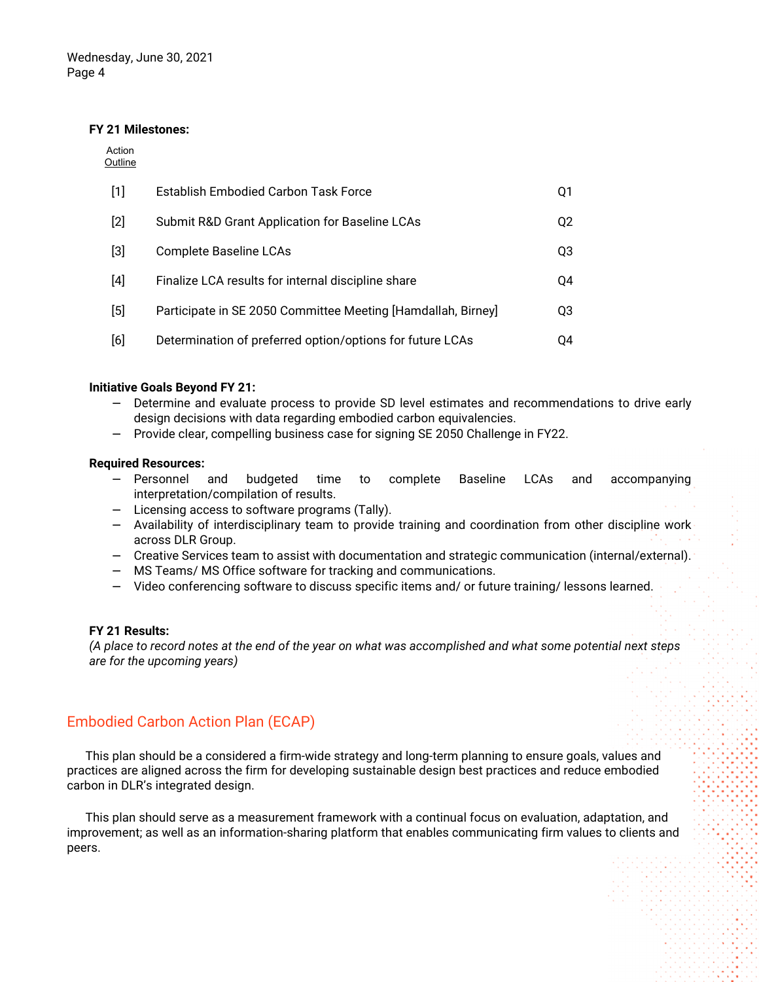#### **FY 21 Milestones:**

Action **Outline** 

| $[1]$ | <b>Establish Embodied Carbon Task Force</b>                  | Q1 |
|-------|--------------------------------------------------------------|----|
| $[2]$ | Submit R&D Grant Application for Baseline LCAs               | Q2 |
| $[3]$ | <b>Complete Baseline LCAs</b>                                | Q3 |
| [4]   | Finalize LCA results for internal discipline share           | 04 |
| [5]   | Participate in SE 2050 Committee Meeting [Hamdallah, Birney] | O3 |
| [6]   | Determination of preferred option/options for future LCAs    | 04 |

#### **Initiative Goals Beyond FY 21:**

- Determine and evaluate process to provide SD level estimates and recommendations to drive early design decisions with data regarding embodied carbon equivalencies.
- − Provide clear, compelling business case for signing SE 2050 Challenge in FY22.

#### **Required Resources:**

- − Personnel and budgeted time to complete Baseline LCAs and accompanying interpretation/compilation of results.
- − Licensing access to software programs (Tally).
- − Availability of interdisciplinary team to provide training and coordination from other discipline work across DLR Group.
- − Creative Services team to assist with documentation and strategic communication (internal/external).
- − MS Teams/ MS Office software for tracking and communications.
- − Video conferencing software to discuss specific items and/ or future training/ lessons learned.

#### **FY 21 Results:**

*(A place to record notes at the end of the year on what was accomplished and what some potential next steps are for the upcoming years)* 

# Embodied Carbon Action Plan (ECAP)

This plan should be a considered a firm-wide strategy and long-term planning to ensure goals, values and practices are aligned across the firm for developing sustainable design best practices and reduce embodied carbon in DLR's integrated design.

This plan should serve as a measurement framework with a continual focus on evaluation, adaptation, and improvement; as well as an information-sharing platform that enables communicating firm values to clients and peers.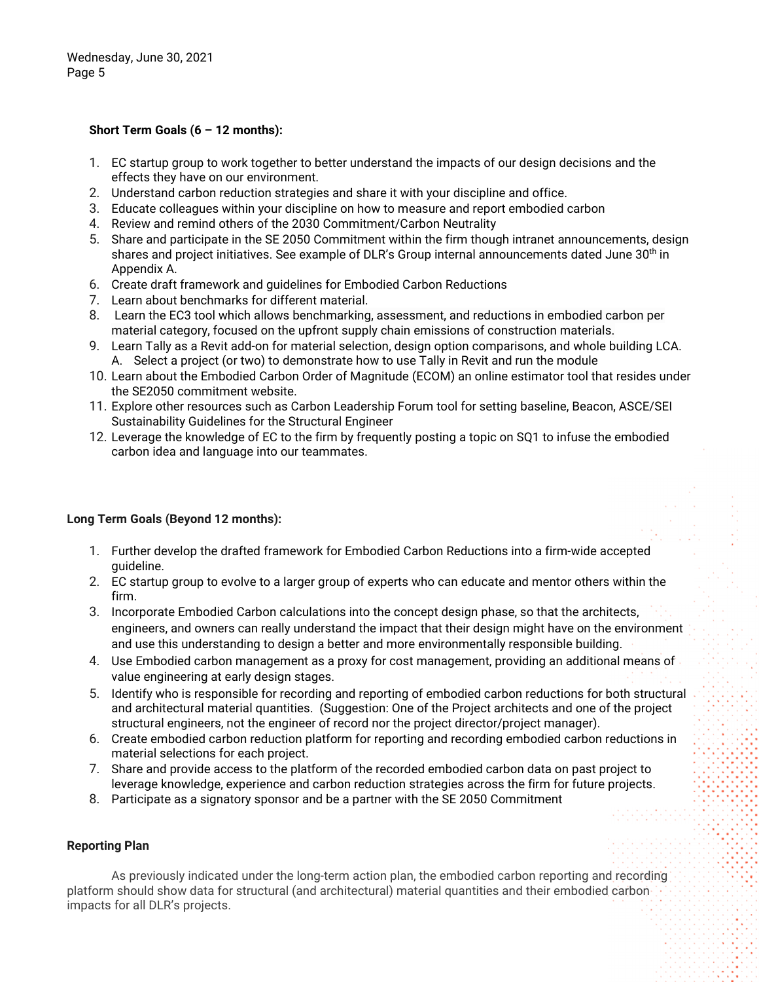#### **Short Term Goals (6 – 12 months):**

- 1. EC startup group to work together to better understand the impacts of our design decisions and the effects they have on our environment.
- 2. Understand carbon reduction strategies and share it with your discipline and office.
- 3. Educate colleagues within your discipline on how to measure and report embodied carbon
- 4. Review and remind others of the 2030 Commitment/Carbon Neutrality
- 5. Share and participate in the SE 2050 Commitment within the firm though intranet announcements, design shares and project initiatives. See example of DLR's Group internal announcements dated June 30<sup>th</sup> in Appendix A.
- 6. Create draft framework and guidelines for Embodied Carbon Reductions
- 7. Learn about benchmarks for different material.
- 8. Learn the EC3 tool which allows benchmarking, assessment, and reductions in embodied carbon per material category, focused on the upfront supply chain emissions of construction materials.
- 9. Learn Tally as a Revit add-on for material selection, design option comparisons, and whole building LCA. A. Select a project (or two) to demonstrate how to use Tally in Revit and run the module
- 10. Learn about the Embodied Carbon Order of Magnitude (ECOM) an online estimator tool that resides under the SE2050 commitment website.
- 11. Explore other resources such as Carbon Leadership Forum tool for setting baseline, Beacon, ASCE/SEI Sustainability Guidelines for the Structural Engineer
- 12. Leverage the knowledge of EC to the firm by frequently posting a topic on SQ1 to infuse the embodied carbon idea and language into our teammates.

#### **Long Term Goals (Beyond 12 months):**

- 1. Further develop the drafted framework for Embodied Carbon Reductions into a firm-wide accepted guideline.
- 2. EC startup group to evolve to a larger group of experts who can educate and mentor others within the firm.
- 3. Incorporate Embodied Carbon calculations into the concept design phase, so that the architects, engineers, and owners can really understand the impact that their design might have on the environment and use this understanding to design a better and more environmentally responsible building.
- 4. Use Embodied carbon management as a proxy for cost management, providing an additional means of value engineering at early design stages.
- 5. Identify who is responsible for recording and reporting of embodied carbon reductions for both structural and architectural material quantities. (Suggestion: One of the Project architects and one of the project structural engineers, not the engineer of record nor the project director/project manager).
- 6. Create embodied carbon reduction platform for reporting and recording embodied carbon reductions in material selections for each project.
- 7. Share and provide access to the platform of the recorded embodied carbon data on past project to leverage knowledge, experience and carbon reduction strategies across the firm for future projects.
- 8. Participate as a signatory sponsor and be a partner with the SE 2050 Commitment

#### **Reporting Plan**

As previously indicated under the long-term action plan, the embodied carbon reporting and recording platform should show data for structural (and architectural) material quantities and their embodied carbon impacts for all DLR's projects.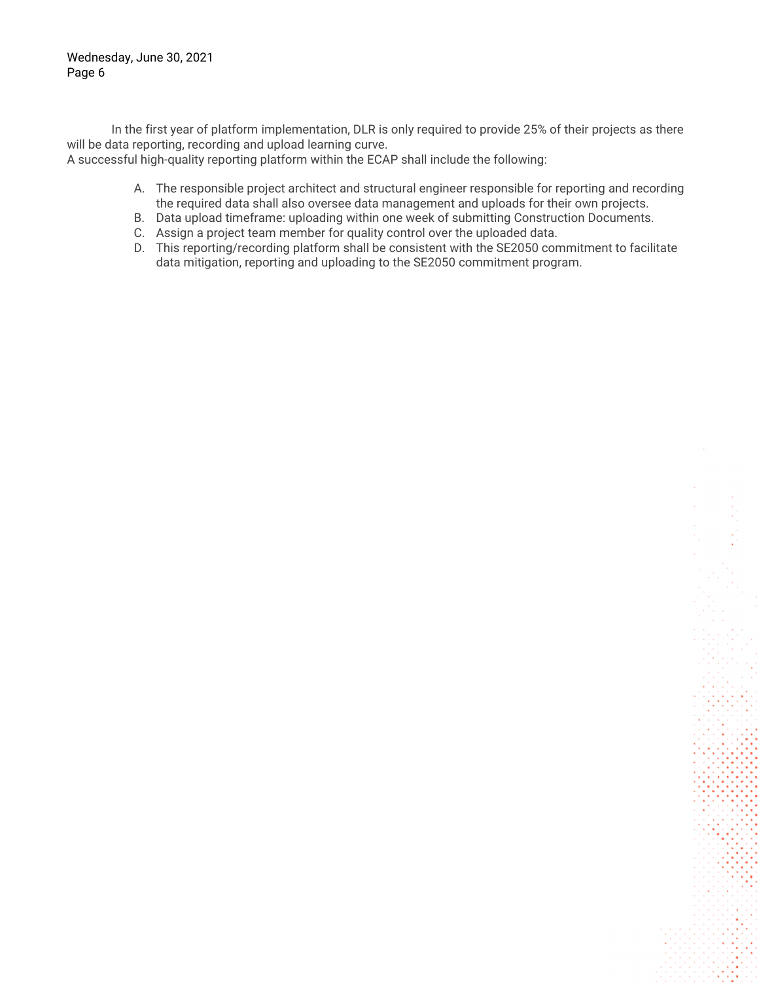In the first year of platform implementation, DLR is only required to provide 25% of their projects as there will be data reporting, recording and upload learning curve.

A successful high-quality reporting platform within the ECAP shall include the following:

- A. The responsible project architect and structural engineer responsible for reporting and recording the required data shall also oversee data management and uploads for their own projects.
- B. Data upload timeframe: uploading within one week of submitting Construction Documents.
- C. Assign a project team member for quality control over the uploaded data.
- D. This reporting/recording platform shall be consistent with the SE2050 commitment to facilitate data mitigation, reporting and uploading to the SE2050 commitment program.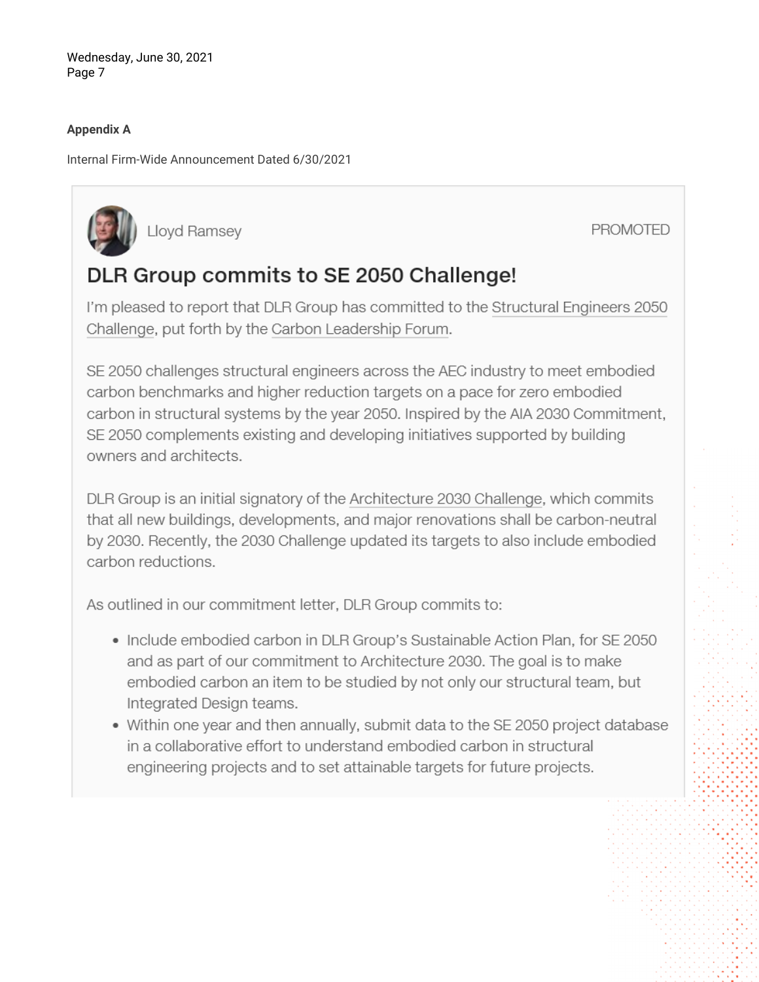Wednesday, June 30, 2021 Page 7

### **Appendix A**

Internal Firm-Wide Announcement Dated 6/30/2021



**PROMOTED** 

# DLR Group commits to SE 2050 Challenge!

I'm pleased to report that DLR Group has committed to the Structural Engineers 2050 Challenge, put forth by the Carbon Leadership Forum.

SE 2050 challenges structural engineers across the AEC industry to meet embodied carbon benchmarks and higher reduction targets on a pace for zero embodied carbon in structural systems by the year 2050. Inspired by the AIA 2030 Commitment, SE 2050 complements existing and developing initiatives supported by building owners and architects.

DLR Group is an initial signatory of the Architecture 2030 Challenge, which commits that all new buildings, developments, and major renovations shall be carbon-neutral by 2030. Recently, the 2030 Challenge updated its targets to also include embodied carbon reductions.

As outlined in our commitment letter, DLR Group commits to:

- Include embodied carbon in DLR Group's Sustainable Action Plan, for SE 2050 and as part of our commitment to Architecture 2030. The goal is to make embodied carbon an item to be studied by not only our structural team, but Integrated Design teams.
- Within one year and then annually, submit data to the SE 2050 project database in a collaborative effort to understand embodied carbon in structural engineering projects and to set attainable targets for future projects.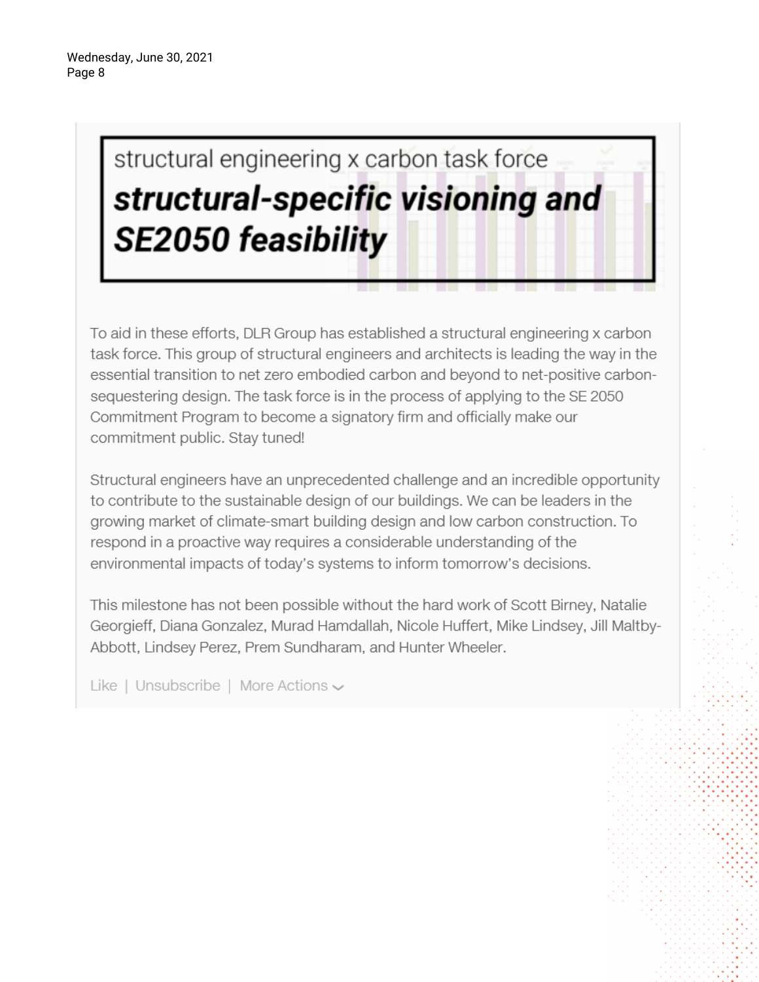# structural engineering x carbon task force structural-specific visioning and **SE2050 feasibility**

To aid in these efforts, DLR Group has established a structural engineering x carbon task force. This group of structural engineers and architects is leading the way in the essential transition to net zero embodied carbon and beyond to net-positive carbonsequestering design. The task force is in the process of applying to the SE 2050 Commitment Program to become a signatory firm and officially make our commitment public. Stay tuned!

Structural engineers have an unprecedented challenge and an incredible opportunity to contribute to the sustainable design of our buildings. We can be leaders in the growing market of climate-smart building design and low carbon construction. To respond in a proactive way requires a considerable understanding of the environmental impacts of today's systems to inform tomorrow's decisions.

This milestone has not been possible without the hard work of Scott Birney, Natalie Georgieff, Diana Gonzalez, Murad Hamdallah, Nicole Huffert, Mike Lindsey, Jill Maltby-Abbott, Lindsey Perez, Prem Sundharam, and Hunter Wheeler.

Like | Unsubscribe | More Actions  $\sim$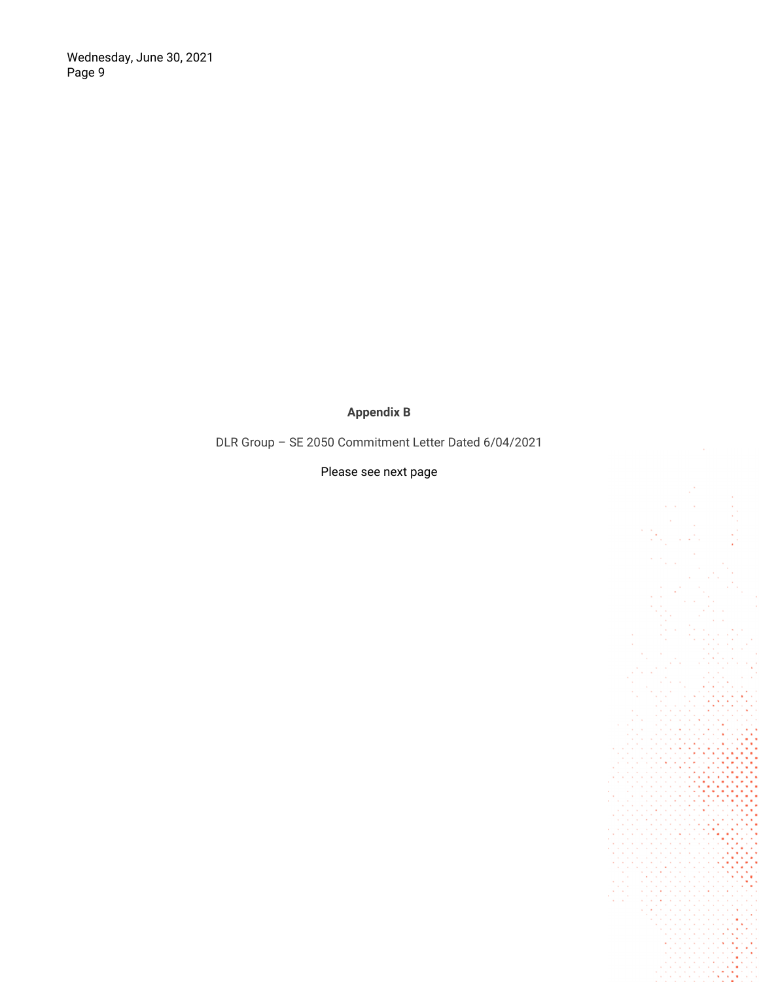Wednesday, June 30, 2021 Page 9

**Appendix B** 

DLR Group – SE 2050 Commitment Letter Dated 6/04/2021

Please see next page